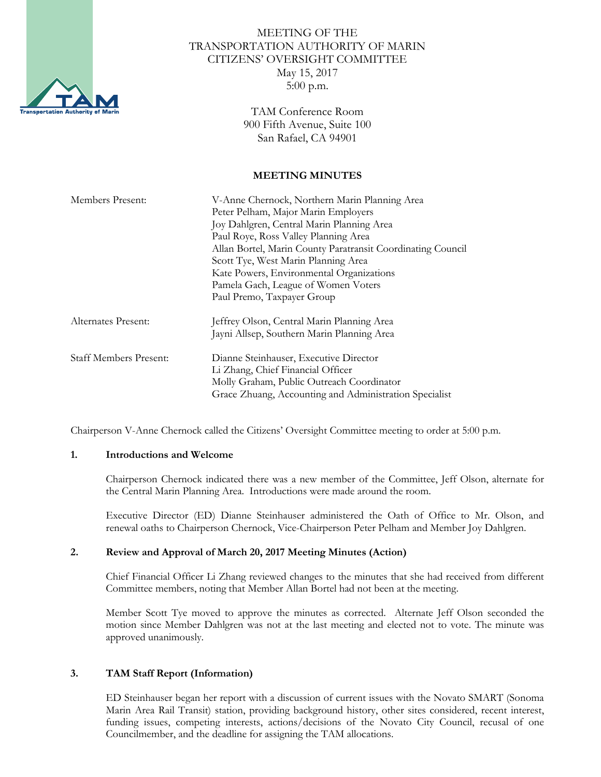

# MEETING OF THE TRANSPORTATION AUTHORITY OF MARIN CITIZENS' OVERSIGHT COMMITTEE May 15, 2017 5:00 p.m.

TAM Conference Room 900 Fifth Avenue, Suite 100 San Rafael, CA 94901

#### **MEETING MINUTES**

| Members Present:              | V-Anne Chernock, Northern Marin Planning Area               |
|-------------------------------|-------------------------------------------------------------|
|                               | Peter Pelham, Major Marin Employers                         |
|                               | Joy Dahlgren, Central Marin Planning Area                   |
|                               | Paul Roye, Ross Valley Planning Area                        |
|                               | Allan Bortel, Marin County Paratransit Coordinating Council |
|                               | Scott Tye, West Marin Planning Area                         |
|                               | Kate Powers, Environmental Organizations                    |
|                               | Pamela Gach, League of Women Voters                         |
|                               | Paul Premo, Taxpayer Group                                  |
| Alternates Present:           | Jeffrey Olson, Central Marin Planning Area                  |
|                               | Jayni Allsep, Southern Marin Planning Area                  |
| <b>Staff Members Present:</b> | Dianne Steinhauser, Executive Director                      |
|                               | Li Zhang, Chief Financial Officer                           |
|                               | Molly Graham, Public Outreach Coordinator                   |
|                               | Grace Zhuang, Accounting and Administration Specialist      |

Chairperson V-Anne Chernock called the Citizens' Oversight Committee meeting to order at 5:00 p.m.

#### **1. Introductions and Welcome**

Chairperson Chernock indicated there was a new member of the Committee, Jeff Olson, alternate for the Central Marin Planning Area. Introductions were made around the room.

Executive Director (ED) Dianne Steinhauser administered the Oath of Office to Mr. Olson, and renewal oaths to Chairperson Chernock, Vice-Chairperson Peter Pelham and Member Joy Dahlgren.

## **2. Review and Approval of March 20, 2017 Meeting Minutes (Action)**

Chief Financial Officer Li Zhang reviewed changes to the minutes that she had received from different Committee members, noting that Member Allan Bortel had not been at the meeting.

Member Scott Tye moved to approve the minutes as corrected. Alternate Jeff Olson seconded the motion since Member Dahlgren was not at the last meeting and elected not to vote. The minute was approved unanimously.

## **3. TAM Staff Report (Information)**

ED Steinhauser began her report with a discussion of current issues with the Novato SMART (Sonoma Marin Area Rail Transit) station, providing background history, other sites considered, recent interest, funding issues, competing interests, actions/decisions of the Novato City Council, recusal of one Councilmember, and the deadline for assigning the TAM allocations.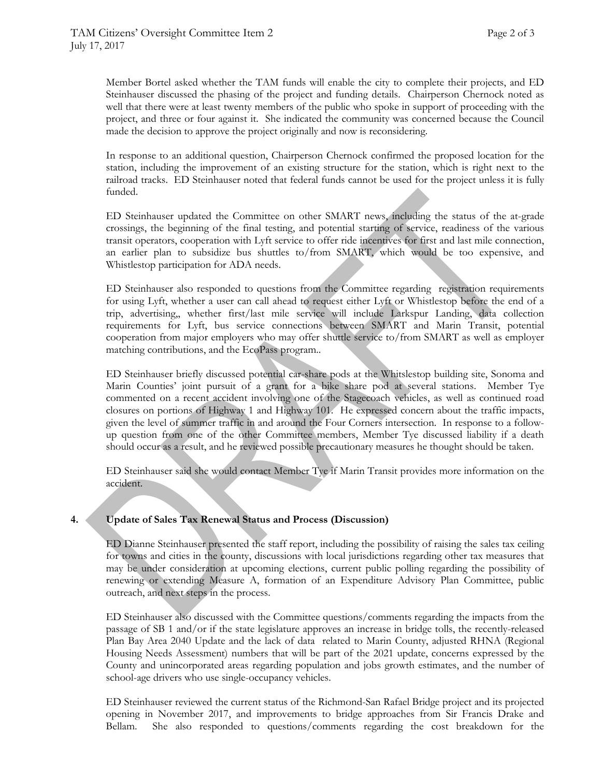Member Bortel asked whether the TAM funds will enable the city to complete their projects, and ED Steinhauser discussed the phasing of the project and funding details. Chairperson Chernock noted as well that there were at least twenty members of the public who spoke in support of proceeding with the project, and three or four against it. She indicated the community was concerned because the Council made the decision to approve the project originally and now is reconsidering.

In response to an additional question, Chairperson Chernock confirmed the proposed location for the station, including the improvement of an existing structure for the station, which is right next to the railroad tracks. ED Steinhauser noted that federal funds cannot be used for the project unless it is fully funded.

ED Steinhauser updated the Committee on other SMART news, including the status of the at-grade crossings, the beginning of the final testing, and potential starting of service, readiness of the various transit operators, cooperation with Lyft service to offer ride incentives for first and last mile connection, an earlier plan to subsidize bus shuttles to/from SMART, which would be too expensive, and Whistlestop participation for ADA needs.

ED Steinhauser also responded to questions from the Committee regarding registration requirements for using Lyft, whether a user can call ahead to request either Lyft or Whistlestop before the end of a trip, advertising,, whether first/last mile service will include Larkspur Landing, data collection requirements for Lyft, bus service connections between SMART and Marin Transit, potential cooperation from major employers who may offer shuttle service to/from SMART as well as employer matching contributions, and the EcoPass program..

ED Steinhauser briefly discussed potential car-share pods at the Whitslestop building site, Sonoma and Marin Counties' joint pursuit of a grant for a bike share pod at several stations. Member Tye commented on a recent accident involving one of the Stagecoach vehicles, as well as continued road closures on portions of Highway 1 and Highway 101. He expressed concern about the traffic impacts, given the level of summer traffic in and around the Four Corners intersection. In response to a followup question from one of the other Committee members, Member Tye discussed liability if a death should occur as a result, and he reviewed possible precautionary measures he thought should be taken.

ED Steinhauser said she would contact Member Tye if Marin Transit provides more information on the accident.

## **4. Update of Sales Tax Renewal Status and Process (Discussion)**

ED Dianne Steinhauser presented the staff report, including the possibility of raising the sales tax ceiling for towns and cities in the county, discussions with local jurisdictions regarding other tax measures that may be under consideration at upcoming elections, current public polling regarding the possibility of renewing or extending Measure A, formation of an Expenditure Advisory Plan Committee, public outreach, and next steps in the process.

ED Steinhauser also discussed with the Committee questions/comments regarding the impacts from the passage of SB 1 and/or if the state legislature approves an increase in bridge tolls, the recently-released Plan Bay Area 2040 Update and the lack of data related to Marin County, adjusted RHNA (Regional Housing Needs Assessment) numbers that will be part of the 2021 update, concerns expressed by the County and unincorporated areas regarding population and jobs growth estimates, and the number of school-age drivers who use single-occupancy vehicles.

ED Steinhauser reviewed the current status of the Richmond-San Rafael Bridge project and its projected opening in November 2017, and improvements to bridge approaches from Sir Francis Drake and Bellam. She also responded to questions/comments regarding the cost breakdown for the